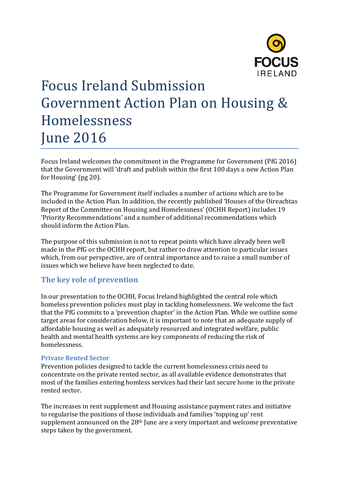

# Focus Ireland Submission Government Action Plan on Housing & Homelessness June 2016

Focus Ireland welcomes the commitment in the Programme for Government (PfG 2016) that the Government will 'draft and publish within the first 100 days a new Action Plan for Housing' (pg 20).

The Programme for Government itself includes a number of actions which are to be included in the Action Plan. In addition, the recently published 'Houses of the Oireachtas Report of the Committee on Housing and Homelessness' (OCHH Report) includes 19 'Priority Recommendations' and a number of additional recommendations which should inform the Action Plan.

The purpose of this submission is not to repeat points which have already been well made in the PfG or the OCHH report, but rather to draw attention to particular issues which, from our perspective, are of central importance and to raise a small number of issues which we believe have been neglected to date.

## **The key role of prevention**

In our presentation to the OCHH, Focus Ireland highlighted the central role which homeless prevention policies must play in tackling homelessness. We welcome the fact that the PfG commits to a 'prevention chapter' in the Action Plan. While we outline some target areas for consideration below, it is important to note that an adequate supply of affordable housing as well as adequately resourced and integrated welfare, public health and mental health systems are key components of reducing the risk of homelessness.

#### **Private Rented Sector**

Prevention policies designed to tackle the current homelessness crisis need to concentrate on the private rented sector, as all available evidence demonstrates that most of the families entering homless services had their last secure home in the private rented sector.

The increases in rent supplement and Housing assistance payment rates and initiative to regularise the positions of those individuals and families 'topping up' rent supplement announced on the 28<sup>th</sup> June are a very important and welcome preventative steps taken by the government.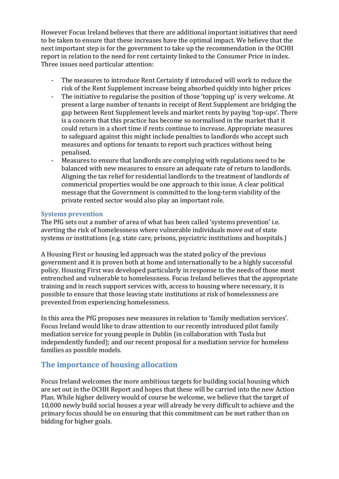However Focus Ireland believes that there are additional important initiatives that need to be taken to ensure that these increases have the optimal impact. We believe that the next important step is for the government to take up the recommendation in the OCHH report in relation to the need for rent certainty linked to the Consumer Price in index. Three issues need particular attention:

- The measures to introduce Rent Certainty if introduced will work to reduce the risk of the Rent Supplement increase being absorbed quickly into higher prices
- The initiative to regularise the position of those 'topping up' is very welcome. At present a large number of tenants in receipt of Rent Supplement are bridging the gap between Rent Supplement levels and market rents by paying 'top-ups'. There is a concern that this practice has become so normalised in the market that it could return in a short time if rents continue to increase. Appropriate measures to safeguard against this might include penalties to landlords who accept such measures and options for tenants to report such practices without being penalised.
- Measures to ensure that landlords are complying with regulations need to be balanced with new measures to ensure an adequate rate of return to landlords. Aligning the tax relief for residential landlords to the treatment of landlords of commericial properties would be one approach to this issue. A clear political message that the Government is committed to the long-term viability of the private rented sector would also play an important role.

#### **Systems prevention**

The PfG sets out a number of area of what has been called 'systems prevention' i.e. averting the risk of homelessness where vulnerable individuals move out of state systems or institutions (e.g. state care, prisons, psyciatric institutions and hospitals.)

A Housing First or housing led approach was the stated policy of the previous government and it is proven both at home and internationally to be a highly successful policy. Housing First was developed particularly in response to the needs of those most entrenched and vulnerable to homelessness. Focus Ireland believes that the appropriate training and in reach support services with, access to housing where necessary, it is possible to ensure that those leaving state institutions at risk of homelessness are prevented from experiencing homelessness.

In this area the PfG proposes new measures in relation to 'family mediation services'. Focus Ireland would like to draw attention to our recently introduced pilot family mediation service for young people in Dublin (in collaboration with Tusla but independently funded); and our recent proposal for a mediation service for homeless families as possible models.

### **The importance of housing allocation**

Focus Ireland welcomes the more ambitious targets for building social housing which are set out in the OCHH Report and hopes that these will be carried into the new Action Plan. While higher delivery would of course be welcome, we believe that the target of 10,000 newly build social houses a year will already be very difficult to achieve and the primary focus should be on ensuring that this commitment can be met rather than on bidding for higher goals.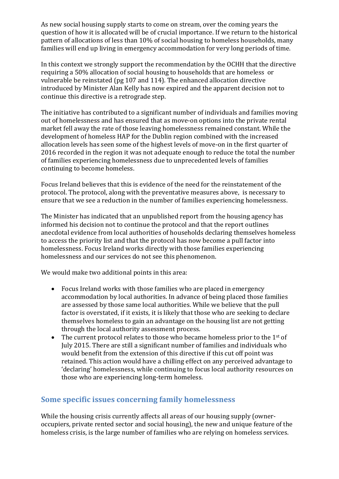As new social housing supply starts to come on stream, over the coming years the question of how it is allocated will be of crucial importance. If we return to the historical pattern of allocations of less than 10% of social housing to homeless households, many families will end up living in emergency accommodation for very long periods of time.

In this context we strongly support the recommendation by the OCHH that the directive requiring a 50% allocation of social housing to households that are homeless or vulnerable be reinstated (pg 107 and 114). The enhanced allocation directive introduced by Minister Alan Kelly has now expired and the apparent decision not to continue this directive is a retrograde step.

The initiative has contributed to a significant number of individuals and families moving out of homelessness and has ensured that as move-on options into the private rental market fell away the rate of those leaving homelessness remained constant. While the development of homeless HAP for the Dublin region combined with the increased allocation levels has seen some of the highest levels of move-on in the first quarter of 2016 recorded in the region it was not adequate enough to reduce the total the number of families experiencing homelessness due to unprecedented levels of families continuing to become homeless.

Focus Ireland believes that this is evidence of the need for the reinstatement of the protocol. The protocol, along with the preventative measures above, is necessary to ensure that we see a reduction in the number of families experiencing homelessness.

The Minister has indicated that an unpublished report from the housing agency has informed his decision not to continue the protocol and that the report outlines anecdotal evidence from local authorities of households declaring themselves homeless to access the priority list and that the protocol has now become a pull factor into homelessness. Focus Ireland works directly with those families experiencing homelessness and our services do not see this phenomenon.

We would make two additional points in this area:

- Focus Ireland works with those families who are placed in emergency accommodation by local authorities. In advance of being placed those families are assessed by those same local authorities. While we believe that the pull factor is overstated, if it exists, it is likely that those who are seeking to declare themselves homeless to gain an advantage on the housing list are not getting through the local authority assessment process.
- $\bullet$  The current protocol relates to those who became homeless prior to the 1<sup>st</sup> of July 2015. There are still a significant number of families and individuals who would benefit from the extension of this directive if this cut off point was retained. This action would have a chilling effect on any perceived advantage to 'declaring' homelessness, while continuing to focus local authority resources on those who are experiencing long-term homeless.

# **Some specific issues concerning family homelessness**

While the housing crisis currently affects all areas of our housing supply (owneroccupiers, private rented sector and social housing), the new and unique feature of the homeless crisis, is the large number of families who are relying on homeless services.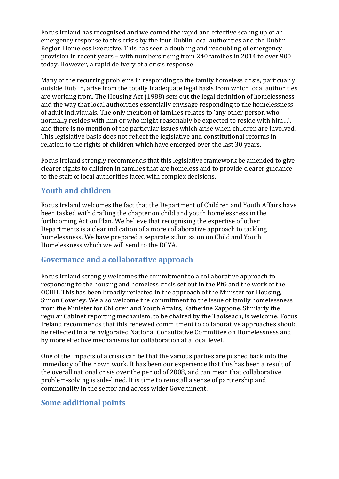Focus Ireland has recognised and welcomed the rapid and effective scaling up of an emergency response to this crisis by the four Dublin local authorities and the Dublin Region Homeless Executive. This has seen a doubling and redoubling of emergency provision in recent years – with numbers rising from 240 families in 2014 to over 900 today. However, a rapid delivery of a crisis response

Many of the recurring problems in responding to the family homeless crisis, particuarly outside Dublin, arise from the totally inadequate legal basis from which local authorities are working from. The Housing Act (1988) sets out the legal definition of homelessness and the way that local authorities essentially envisage responding to the homelessness of adult individuals. The only mention of families relates to 'any other person who normally resides with him or who might reasonably be expected to reside with him…', and there is no mention of the particular issues which arise when children are involved. This legislative basis does not reflect the legislative and constitutional reforms in relation to the rights of children which have emerged over the last 30 years.

Focus Ireland strongly recommends that this legislative framework be amended to give clearer rights to children in families that are homeless and to provide clearer guidance to the staff of local authorities faced with complex decisions.

## **Youth and children**

Focus Ireland welcomes the fact that the Department of Children and Youth Affairs have been tasked with drafting the chapter on child and youth homelessness in the forthcoming Action Plan. We believe that recognising the expertise of other Departments is a clear indication of a more collaborative approach to tackling homelessness. We have prepared a separate submission on Child and Youth Homelessness which we will send to the DCYA.

### **Governance and a collaborative approach**

Focus Ireland strongly welcomes the commitment to a collaborative approach to responding to the housing and homeless crisis set out in the PfG and the work of the OCHH. This has been broadly reflected in the approach of the Minister for Housing, Simon Coveney. We also welcome the commitment to the issue of family homelessness from the Minister for Children and Youth Affairs, Katherine Zappone. Similarly the regular Cabinet reporting mechanism, to be chaired by the Taoiseach, is welcome. Focus Ireland recommends that this renewed commitment to collaborative approaches should be reflected in a reinvigorated National Consultative Committee on Homelessness and by more effective mechanisms for collaboration at a local level.

One of the impacts of a crisis can be that the various parties are pushed back into the immediacy of their own work. It has been our experience that this has been a result of the overall national crisis over the period of 2008, and can mean that collaborative problem-solving is side-lined. It is time to reinstall a sense of partnership and commonality in the sector and across wider Government.

## **Some additional points**